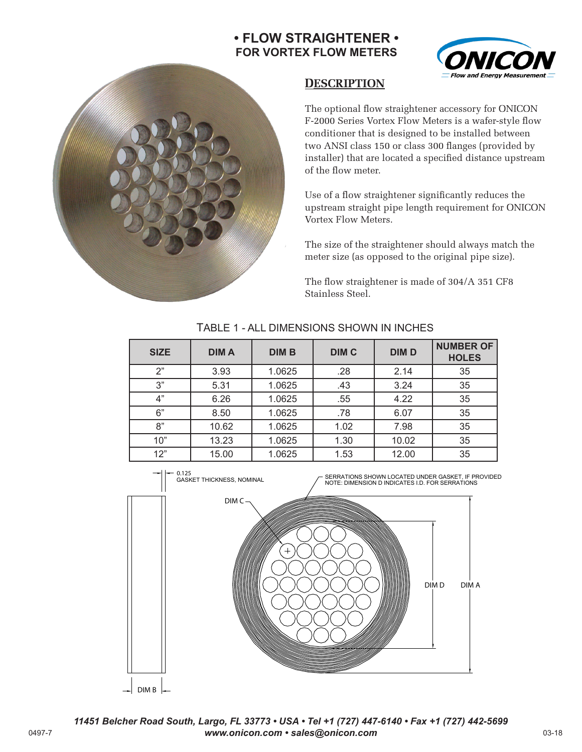# **• FLOW STRAIGHTENER • FOR VORTEX FLOW METERS**





## **DESCRIPTION**

The optional flow straightener accessory for ONICON F-2000 Series Vortex Flow Meters is a wafer-style flow conditioner that is designed to be installed between two ANSI class 150 or class 300 flanges (provided by installer) that are located a specified distance upstream of the flow meter.

Use of a flow straightener significantly reduces the upstream straight pipe length requirement for ONICON Vortex Flow Meters.

The size of the straightener should always match the meter size (as opposed to the original pipe size).

The flow straightener is made of 304/A 351 CF8 Stainless Steel.

| <b>SIZE</b> | <b>DIMA</b> | <b>DIM B</b> | <b>DIM C</b> | <b>DIM D</b> | <b>NUMBER OF</b><br><b>HOLES</b> |
|-------------|-------------|--------------|--------------|--------------|----------------------------------|
| 2"          | 3.93        | 1.0625       | .28          | 2.14         | 35                               |
| 3"          | 5.31        | 1.0625       | .43          | 3.24         | 35                               |
| 4"          | 6.26        | 1.0625       | .55          | 4.22         | 35                               |
| 6"          | 8.50        | 1.0625       | .78          | 6.07         | 35                               |
| 8"          | 10.62       | 1.0625       | 1.02         | 7.98         | 35                               |
| 10"         | 13.23       | 1.0625       | 1.30         | 10.02        | 35                               |
| 12"         | 15.00       | 1.0625       | 1.53         | 12.00        | 35                               |

### TABLE 1 - ALL DIMENSIONS SHOWN IN INCHES